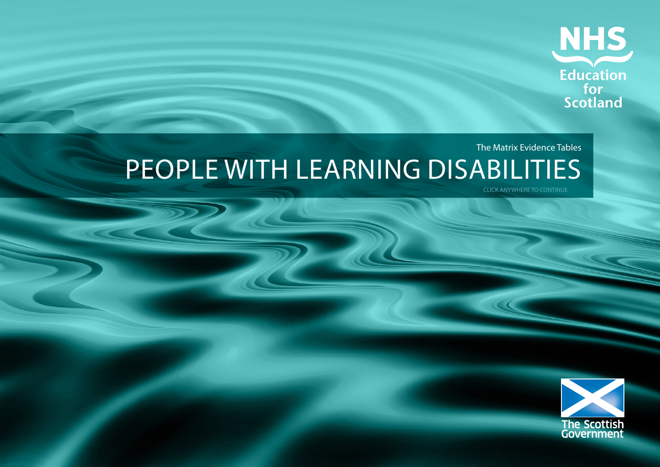

### The Matrix Evidence Tables PEOPLE WITH LEARNING DISABILITIES

CLICK ANYWHERE TO CONTINUE

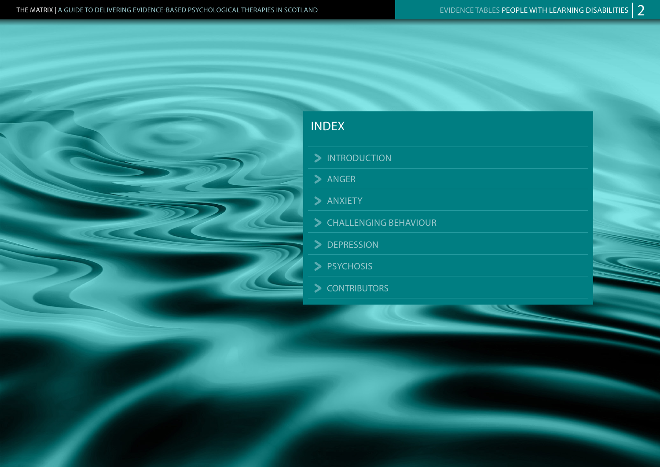### INDEX

> INTRODUCTION

 $\blacktriangleright$  ANGER

 $\blacktriangleright$  ANXIETY

- CHALLENGING BEHAVIOUR
- > DEPRESSION

> PSYCHOSIS

S CONTRIBUTORS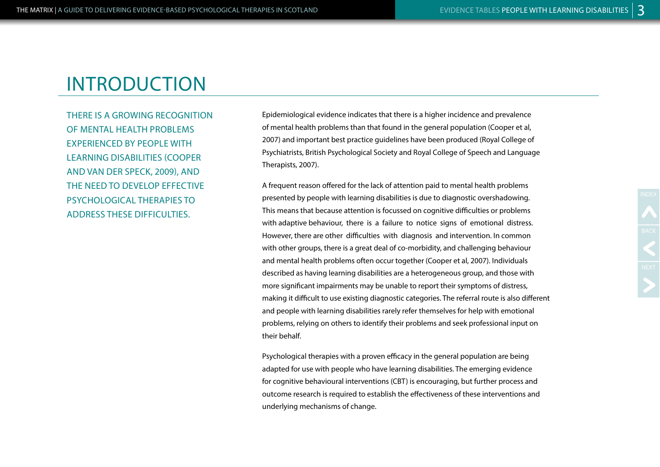THERE IS A GROWING RECOGNITION OF MENTAL HEALTH PROBLEMS EXPERIENCED BY PEOPLE WITH LEARNING DISABILITIES (COOPER AND VAN DER SPECK, 2009), AND THE NEED TO DEVELOP EFFECTIVE PSYCHOLOGICAL THERAPIES TO ADDRESS THESE DIFFICULTIES.

Epidemiological evidence indicates that there is a higher incidence and prevalence of mental health problems than that found in the general population (Cooper et al, 2007) and important best practice guidelines have been produced (Royal College of Psychiatrists, British Psychological Society and Royal College of Speech and Language Therapists, 2007).

A frequent reason offered for the lack of attention paid to mental health problems presented by people with learning disabilities is due to diagnostic overshadowing. This means that because attention is focussed on cognitive difficulties or problems with adaptive behaviour, there is a failure to notice signs of emotional distress. However, there are other difficulties with diagnosis and intervention. In common with other groups, there is a great deal of co-morbidity, and challenging behaviour and mental health problems often occur together (Cooper et al, 2007). Individuals described as having learning disabilities are a heterogeneous group, and those with more significant impairments may be unable to report their symptoms of distress, making it difficult to use existing diagnostic categories. The referral route is also different and people with learning disabilities rarely refer themselves for help with emotional problems, relying on others to identify their problems and seek professional input on their behalf.

Psychological therapies with a proven efficacy in the general population are being adapted for use with people who have learning disabilities. The emerging evidence for cognitive behavioural interventions (CBT) is encouraging, but further process and outcome research is required to establish the effectiveness of these interventions and underlying mechanisms of change.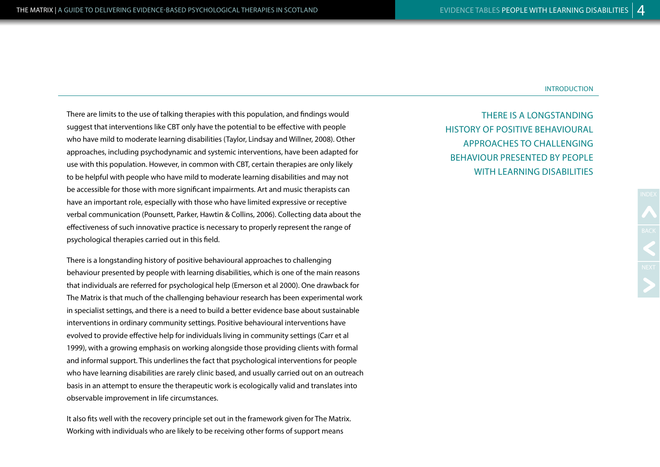There are limits to the use of talking therapies with this population, and findings would suggest that interventions like CBT only have the potential to be effective with people who have mild to moderate learning disabilities (Taylor, Lindsay and Willner, 2008). Other approaches, including psychodynamic and systemic interventions, have been adapted for use with this population. However, in common with CBT, certain therapies are only likely to be helpful with people who have mild to moderate learning disabilities and may not be accessible for those with more significant impairments. Art and music therapists can have an important role, especially with those who have limited expressive or receptive verbal communication (Pounsett, Parker, Hawtin & Collins, 2006). Collecting data about the effectiveness of such innovative practice is necessary to properly represent the range of psychological therapies carried out in this field.

There is a longstanding history of positive behavioural approaches to challenging behaviour presented by people with learning disabilities, which is one of the main reasons that individuals are referred for psychological help (Emerson et al 2000). One drawback for The Matrix is that much of the challenging behaviour research has been experimental work in specialist settings, and there is a need to build a better evidence base about sustainable interventions in ordinary community settings. Positive behavioural interventions have evolved to provide effective help for individuals living in community settings (Carr et al 1999), with a growing emphasis on working alongside those providing clients with formal and informal support. This underlines the fact that psychological interventions for people who have learning disabilities are rarely clinic based, and usually carried out on an outreach basis in an attempt to ensure the therapeutic work is ecologically valid and translates into observable improvement in life circumstances.

It also fits well with the recovery principle set out in the framework given for The Matrix. Working with individuals who are likely to be receiving other forms of support means

THERE IS A LONGSTANDING HISTORY OF POSITIVE BEHAVIOURAL APPROACHES TO CHALLENGING BEHAVIOUR PRESENTED BY PEOPLE WITH LEARNING DISABILITIES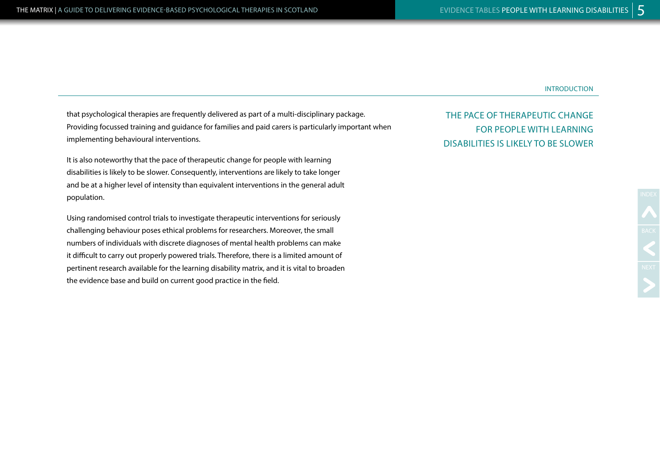that psychological therapies are frequently delivered as part of a multi-disciplinary package. Providing focussed training and guidance for families and paid carers is particularly important when implementing behavioural interventions.

It is also noteworthy that the pace of therapeutic change for people with learning disabilities is likely to be slower. Consequently, interventions are likely to take longer and be at a higher level of intensity than equivalent interventions in the general adult population.

Using randomised control trials to investigate therapeutic interventions for seriously challenging behaviour poses ethical problems for researchers. Moreover, the small numbers of individuals with discrete diagnoses of mental health problems can make it difficult to carry out properly powered trials. Therefore, there is a limited amount of pertinent research available for the learning disability matrix, and it is vital to broaden the evidence base and build on current good practice in the field.

THE PACE OF THERAPEUTIC CHANGE FOR PEOPLE WITH LEARNING DISABILITIES IS LIKELY TO BE SLOWER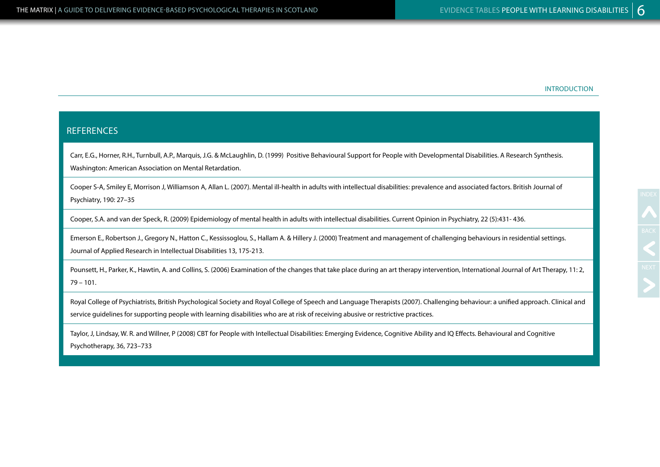#### **REFERENCES**

Carr, E.G., Horner, R.H., Turnbull, A.P., Marquis, J.G. & McLaughlin, D. (1999) Positive Behavioural Support for People with Developmental Disabilities. A Research Synthesis. Washington: American Association on Mental Retardation.

Cooper S-A, Smiley E, Morrison J, Williamson A, Allan L. (2007). Mental ill-health in adults with intellectual disabilities: prevalence and associated factors. British Journal of Psychiatry, 190: 27–35

Cooper, S.A. and van der Speck, R. (2009) Epidemiology of mental health in adults with intellectual disabilities. Current Opinion in Psychiatry, 22 (5):431- 436.

Emerson E., Robertson J., Gregory N., Hatton C., Kessissoglou, S., Hallam A. & Hillery J. (2000) Treatment and management of challenging behaviours in residential settings. Journal of Applied Research in Intellectual Disabilities 13, 175-213.

Pounsett, H., Parker, K., Hawtin, A. and Collins, S. (2006) Examination of the changes that take place during an art therapy intervention, International Journal of Art Therapy, 11: 2, 79 – 101.

Royal College of Psychiatrists, British Psychological Society and Royal College of Speech and Language Therapists (2007). Challenging behaviour: a unified approach. Clinical and service guidelines for supporting people with learning disabilities who are at risk of receiving abusive or restrictive practices.

Taylor, J, Lindsay, W. R. and Willner, P (2008) CBT for People with Intellectual Disabilities: Emerging Evidence, Cognitive Ability and IQ Effects. Behavioural and Cognitive Psychotherapy, 36, 723–733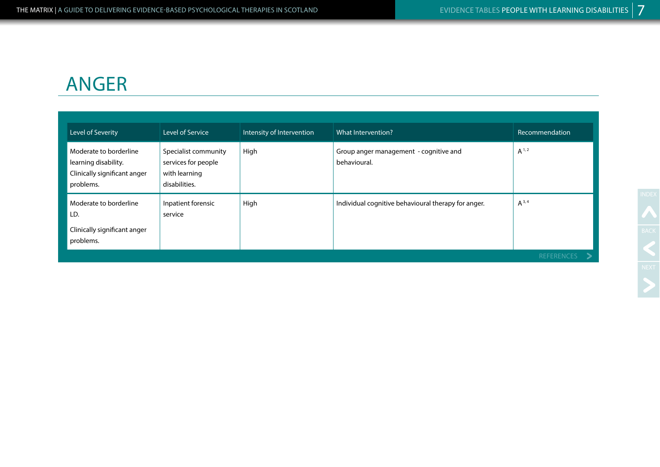# ANGER

| Level of Severity                                                                           | Level of Service                                                              | Intensity of Intervention | What Intervention?                                     | Recommendation |
|---------------------------------------------------------------------------------------------|-------------------------------------------------------------------------------|---------------------------|--------------------------------------------------------|----------------|
| Moderate to borderline<br>learning disability.<br>Clinically significant anger<br>problems. | Specialist community<br>services for people<br>with learning<br>disabilities. | High                      | Group anger management - cognitive and<br>behavioural. | $A^{1,2}$      |
| Moderate to borderline<br>LD.<br>Clinically significant anger<br>problems.                  | Inpatient forensic<br>service                                                 | High                      | Individual cognitive behavioural therapy for anger.    | $A^{3,4}$      |
|                                                                                             |                                                                               |                           |                                                        | <b>REFEREI</b> |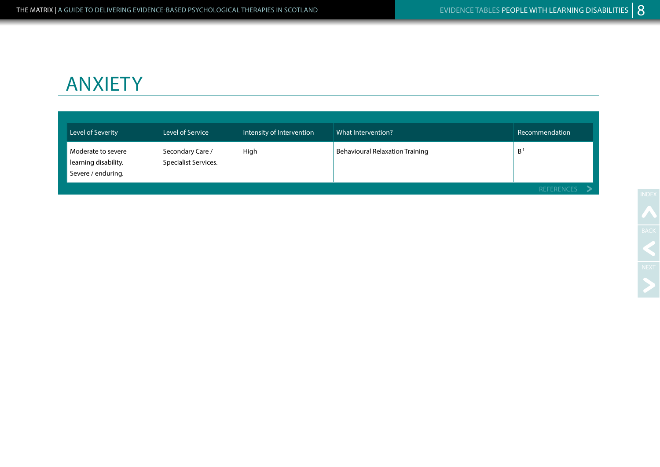# ANXIETY

|  | Level of Severity                                                | Level of Service                         | Intensity of Intervention | What Intervention?                     | Recommendation |
|--|------------------------------------------------------------------|------------------------------------------|---------------------------|----------------------------------------|----------------|
|  | Moderate to severe<br>learning disability.<br>Severe / enduring. | Secondary Care /<br>Specialist Services. | High                      | <b>Behavioural Relaxation Training</b> | $B^1$          |
|  |                                                                  |                                          |                           | <b>REFERENCES</b>                      |                |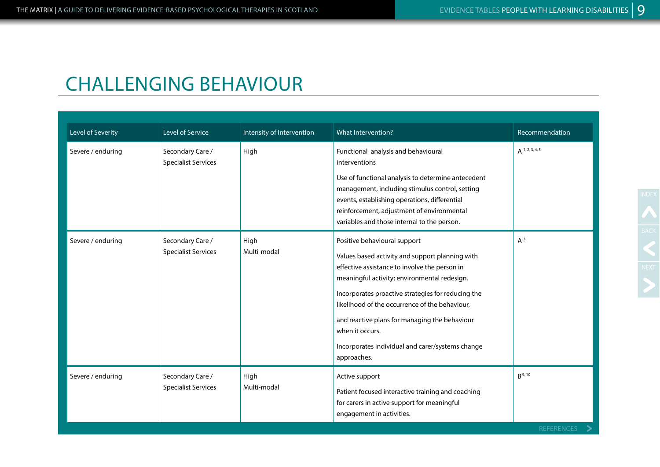### CHALLENGING BEHAVIOUR

| Level of Severity | Level of Service                               | Intensity of Intervention | What Intervention?                                                                                                                                                                                                                                                                                                                                                                                                              | Recommendation            |
|-------------------|------------------------------------------------|---------------------------|---------------------------------------------------------------------------------------------------------------------------------------------------------------------------------------------------------------------------------------------------------------------------------------------------------------------------------------------------------------------------------------------------------------------------------|---------------------------|
| Severe / enduring | Secondary Care /<br><b>Specialist Services</b> | High                      | Functional analysis and behavioural<br>interventions<br>Use of functional analysis to determine antecedent<br>management, including stimulus control, setting<br>events, establishing operations, differential<br>reinforcement, adjustment of environmental<br>variables and those internal to the person.                                                                                                                     | $A^{1,2,3,4,5}$           |
| Severe / enduring | Secondary Care /<br><b>Specialist Services</b> | High<br>Multi-modal       | Positive behavioural support<br>Values based activity and support planning with<br>effective assistance to involve the person in<br>meaningful activity; environmental redesign.<br>Incorporates proactive strategies for reducing the<br>likelihood of the occurrence of the behaviour,<br>and reactive plans for managing the behaviour<br>when it occurs.<br>Incorporates individual and carer/systems change<br>approaches. | $A^3$                     |
| Severe / enduring | Secondary Care /<br><b>Specialist Services</b> | High<br>Multi-modal       | Active support<br>Patient focused interactive training and coaching<br>for carers in active support for meaningful<br>engagement in activities.                                                                                                                                                                                                                                                                                 | $R^{9, 10}$<br>REFERENCES |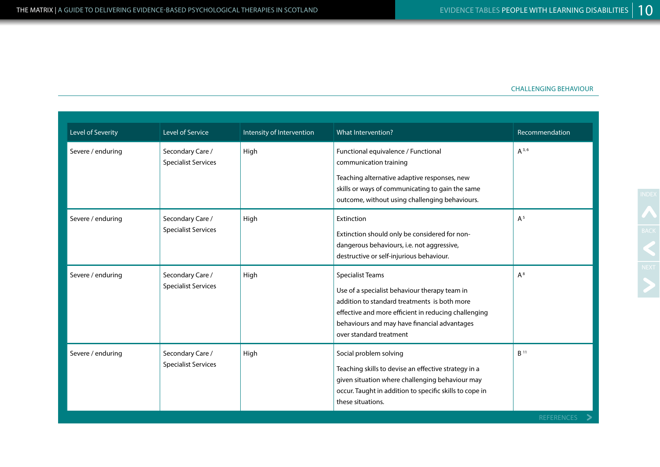#### CHALLENGING BEHAVIOUR

| Level of Severity | <b>Level of Service</b>                        | Intensity of Intervention | What Intervention?                                                                                                                                                                                                                                          | Recommendation  |
|-------------------|------------------------------------------------|---------------------------|-------------------------------------------------------------------------------------------------------------------------------------------------------------------------------------------------------------------------------------------------------------|-----------------|
| Severe / enduring | Secondary Care /<br><b>Specialist Services</b> | High                      | Functional equivalence / Functional<br>communication training<br>Teaching alternative adaptive responses, new<br>skills or ways of communicating to gain the same<br>outcome, without using challenging behaviours.                                         | $A^{3,6}$       |
| Severe / enduring | Secondary Care /<br><b>Specialist Services</b> | High                      | Extinction<br>Extinction should only be considered for non-<br>dangerous behaviours, i.e. not aggressive,<br>destructive or self-injurious behaviour.                                                                                                       | $A^5$           |
| Severe / enduring | Secondary Care /<br><b>Specialist Services</b> | High                      | <b>Specialist Teams</b><br>Use of a specialist behaviour therapy team in<br>addition to standard treatments is both more<br>effective and more efficient in reducing challenging<br>behaviours and may have financial advantages<br>over standard treatment | $A^8$           |
| Severe / enduring | Secondary Care /<br><b>Specialist Services</b> | High                      | Social problem solving<br>Teaching skills to devise an effective strategy in a<br>given situation where challenging behaviour may<br>occur. Taught in addition to specific skills to cope in<br>these situations.                                           | B <sup>11</sup> |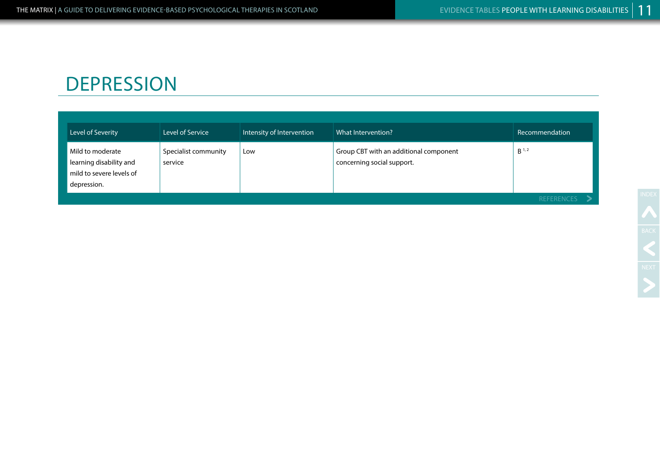### **DEPRESSION**

| Level of Severity                                                                      | Level of Service                | Intensity of Intervention | What Intervention?                                                   | Recommendation    |
|----------------------------------------------------------------------------------------|---------------------------------|---------------------------|----------------------------------------------------------------------|-------------------|
| Mild to moderate<br>learning disability and<br>mild to severe levels of<br>depression. | Specialist community<br>service | Low                       | Group CBT with an additional component<br>concerning social support. | B <sup>1,2</sup>  |
|                                                                                        |                                 |                           |                                                                      | <b>REFERENCES</b> |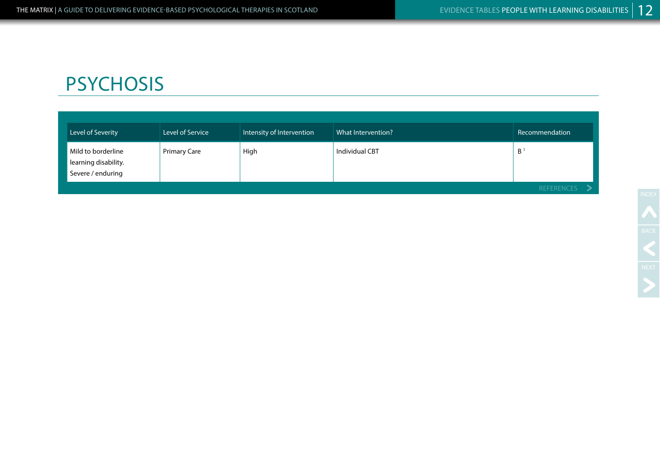# **PSYCHOSIS**

| Level of Severity                                               | Level of Service    | Intensity of Intervention | What Intervention? | Recommendation |
|-----------------------------------------------------------------|---------------------|---------------------------|--------------------|----------------|
| Mild to borderline<br>learning disability.<br>Severe / enduring | <b>Primary Care</b> | High                      | Individual CBT     | $B^{\circ}$    |
|                                                                 |                     |                           |                    | REFERENCES     |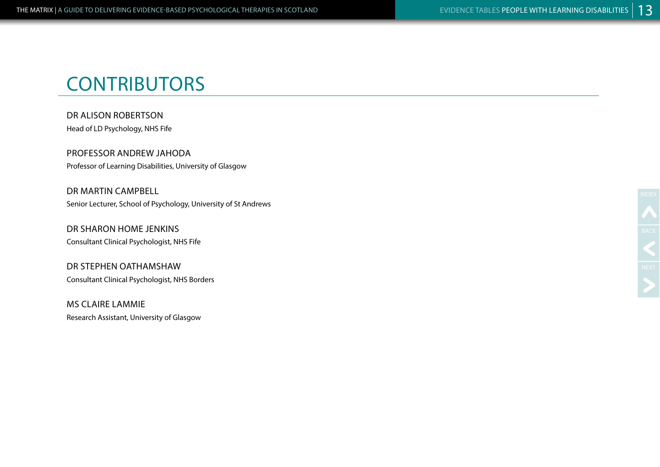# **CONTRIBUTORS**

DR ALISON ROBERTSON Head of LD Psychology, NHS Fife

PROFESSOR ANDREW JAHODA Professor of Learning Disabilities, University of Glasgow

DR MARTIN CAMPBELL Senior Lecturer, School of Psychology, University of St Andrews

DR SHARON HOME JENKINS Consultant Clinical Psychologist, NHS Fife

DR STEPHEN OATHAMSHAW Consultant Clinical Psychologist, NHS Borders

MS CLAIRE LAMMIE Research Assistant, University of Glasgow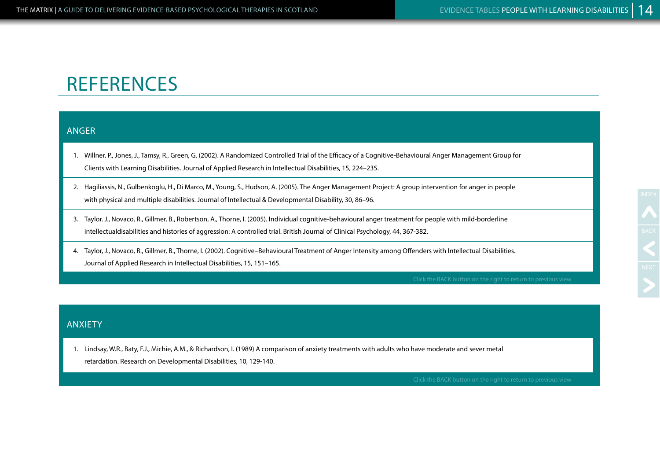### **REFERENCES**

#### ANGER

1. Willner, P., Jones, J., Tamsy, R., Green, G. (2002). A Randomized Controlled Trial of the Efficacy of a Cognitive-Behavioural Anger Management Group for Clients with Learning Disabilities. Journal of Applied Research in Intellectual Disabilities, 15, 224–235.

- 2. Hagiliassis, N., Gulbenkoglu, H., Di Marco, M., Young, S., Hudson, A. (2005). The Anger Management Project: A group intervention for anger in people with physical and multiple disabilities. Journal of Intellectual & Developmental Disability, 30, 86–96.
- 3. Taylor. J., Novaco, R., Gillmer, B., Robertson, A., Thorne, I. (2005). Individual cognitive-behavioural anger treatment for people with mild-borderline intellectualdisabilities and histories of aggression: A controlled trial. British Journal of Clinical Psychology, 44, 367-382.
- 4. Taylor, J., Novaco, R., Gillmer, B., Thorne, I. (2002). Cognitive–Behavioural Treatment of Anger Intensity among Offenders with Intellectual Disabilities. Journal of Applied Research in Intellectual Disabilities, 15, 151–165.

### ANXIETY

1. Lindsay, W.R., Baty, F.J., Michie, A.M., & Richardson, I. (1989) A comparison of anxiety treatments with adults who have moderate and sever metal retardation. Research on Developmental Disabilities, 10, 129-140.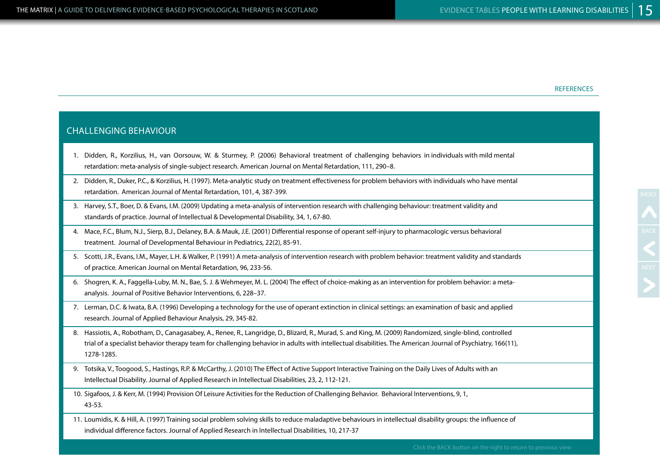#### **REFERENCES**

### CHALLENGING BEHAVIOUR 1. Didden, R., Korzilius, H., van Oorsouw, W. & Sturmey, P. (2006) Behavioral treatment of challenging behaviors in individuals with mild mental retardation: meta-analysis of single-subject research. American Journal on Mental Retardation, 111, 290–8. 2. Didden, R., Duker, P.C., & Korzilius, H. (1997). Meta-analytic study on treatment effectiveness for problem behaviors with individuals who have mental retardation. American Journal of Mental Retardation, 101, 4, 387-399. 3. Harvey, S.T., Boer, D. & Evans, I.M. (2009) Updating a meta-analysis of intervention research with challenging behaviour: treatment validity and standards of practice. Journal of Intellectual & Developmental Disability, 34, 1, 67-80. 4. Mace, F.C., Blum, N.J., Sierp, B.J., Delaney, B.A. & Mauk, J.E. (2001) Differential response of operant self-injury to pharmacologic versus behavioral treatment. Journal of Developmental Behaviour in Pediatrics, 22(2), 85-91. 5. Scotti, J.R., Evans, I.M., Mayer, L.H. & Walker, P. (1991) A meta-analysis of intervention research with problem behavior: treatment validity and standards of practice. American Journal on Mental Retardation, 96, 233-56. 6. Shogren, K. A., Faggella-Luby, M. N., Bae, S. J. & Wehmeyer, M. L. (2004) The effect of choice-making as an intervention for problem behavior: a metaanalysis. Journal of Positive Behavior Interventions, 6, 228–37. 7. Lerman, D.C. & Iwata, B.A. (1996) Developing a technology for the use of operant extinction in clinical settings: an examination of basic and applied research. Journal of Applied Behaviour Analysis, 29, 345-82. 8. Hassiotis, A., Robotham, D., Canagasabey, A., Renee, R., Langridge, D., Blizard, R., Murad, S. and King, M. (2009) Randomized, single-blind, controlled trial of a specialist behavior therapy team for challenging behavior in adults with intellectual disabilities. The American Journal of Psychiatry, 166(11), 1278-1285. 9. Totsika, V., Toogood, S., Hastings, R.P. & McCarthy, J. (2010) The Effect of Active Support Interactive Training on the Daily Lives of Adults with an Intellectual Disability. Journal of Applied Research in Intellectual Disabilities, 23, 2, 112-121. 10. Sigafoos, J. & Kerr, M. (1994) Provision Of Leisure Activities for the Reduction of Challenging Behavior. Behavioral Interventions, 9, 1, 43-53. 11. Loumidis, K. & Hill, A. (1997) Training social problem solving skills to reduce maladaptive behaviours in intellectual disability groups: the influence of individual difference factors. Journal of Applied Research in Intellectual Disabilities, 10, 217-37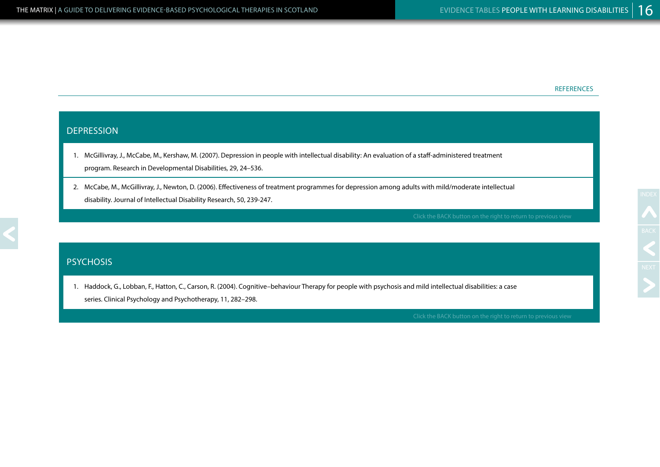#### REFERENCES

### DEPRESSION

- 1. McGillivray, J., McCabe, M., Kershaw, M. (2007). Depression in people with intellectual disability: An evaluation of a staff-administered treatment program. Research in Developmental Disabilities, 29, 24–536.
- 2. McCabe, M., McGillivray, J., Newton, D. (2006). Effectiveness of treatment programmes for depression among adults with mild/moderate intellectual disability. Journal of Intellectual Disability Research, 50, 239-247.

#### **PSYCHOSIS**

1. Haddock, G., Lobban, F., Hatton, C., Carson, R. (2004). Cognitive–behaviour Therapy for people with psychosis and mild intellectual disabilities: a case series. Clinical Psychology and Psychotherapy, 11, 282–298.